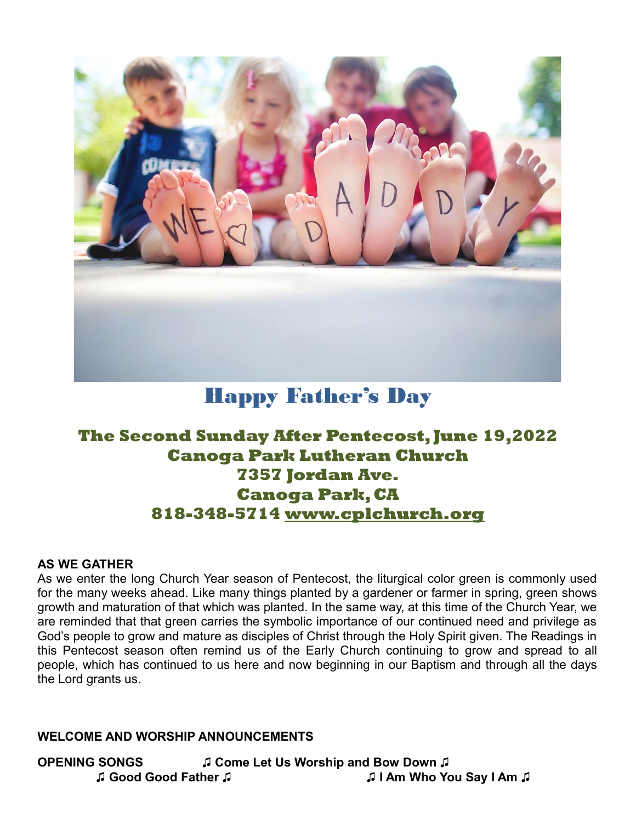

# Happy Father's Day

## **The Second Sunday After Pentecost, June 19,2022 Canoga Park Lutheran Church 7357 Jordan Ave. Canoga Park, CA 818-348-5714 [www.cplchurch.org](http://www.cplchurch.org/)**

#### **AS WE GATHER**

As we enter the long Church Year season of Pentecost, the liturgical color green is commonly used for the many weeks ahead. Like many things planted by a gardener or farmer in spring, green shows growth and maturation of that which was planted. In the same way, at this time of the Church Year, we are reminded that that green carries the symbolic importance of our continued need and privilege as God's people to grow and mature as disciples of Christ through the Holy Spirit given. The Readings in this Pentecost season often remind us of the Early Church continuing to grow and spread to all people, which has continued to us here and now beginning in our Baptism and through all the days the Lord grants us.

#### **WELCOME AND WORSHIP ANNOUNCEMENTS**

**OPENING SONGS ♫ Come Let Us Worship and Bow Down ♫ ♫ Good Good Father ♫ ♫ I Am Who You Say I Am ♫**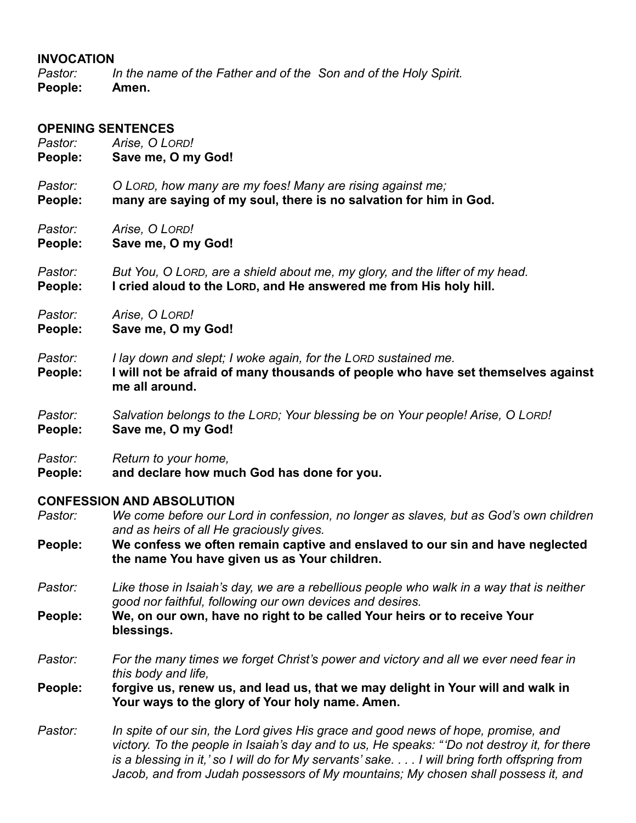#### **INVOCATION**

*Pastor: In the name of the Father and of the Son and of the Holy Spirit.* **People: Amen.**

#### **OPENING SENTENCES**

| Pastor:            | Arise, O LORD!                                                                                                                                                       |  |
|--------------------|----------------------------------------------------------------------------------------------------------------------------------------------------------------------|--|
| People:            | Save me, O my God!                                                                                                                                                   |  |
| Pastor:            | O LORD, how many are my foes! Many are rising against me;                                                                                                            |  |
| People:            | many are saying of my soul, there is no salvation for him in God.                                                                                                    |  |
| Pastor:            | Arise, O LORD!                                                                                                                                                       |  |
| People:            | Save me, O my God!                                                                                                                                                   |  |
| Pastor:            | But You, O LORD, are a shield about me, my glory, and the lifter of my head.                                                                                         |  |
| People:            | I cried aloud to the LORD, and He answered me from His holy hill.                                                                                                    |  |
| Pastor:            | Arise, O LORD!                                                                                                                                                       |  |
| People:            | Save me, O my God!                                                                                                                                                   |  |
| Pastor:<br>People: | I lay down and slept; I woke again, for the LORD sustained me.<br>I will not be afraid of many thousands of people who have set themselves against<br>me all around. |  |
| Pastor:            | Salvation belongs to the LORD; Your blessing be on Your people! Arise, O LORD!                                                                                       |  |
| People:            | Save me, O my God!                                                                                                                                                   |  |
| Pastor:            | Return to your home,                                                                                                                                                 |  |
| People:            | and declare how much God has done for you.                                                                                                                           |  |
|                    | <b>CONFESSION AND ABSOLUTION</b>                                                                                                                                     |  |
| Pastor:            | We come before our Lord in confession, no longer as slaves, but as God's own children<br>and as heirs of all He graciously gives.                                    |  |
| People:            | We confess we often remain captive and enslaved to our sin and have neglected<br>the name You have given us as Your children.                                        |  |

- *Pastor: Like those in Isaiah's day, we are a rebellious people who walk in a way that is neither*
- *good nor faithful, following our own devices and desires.* **People: We, on our own, have no right to be called Your heirs or to receive Your blessings.**
- *Pastor: For the many times we forget Christ's power and victory and all we ever need fear in this body and life,*

**People: forgive us, renew us, and lead us, that we may delight in Your will and walk in Your ways to the glory of Your holy name. Amen.**

*Pastor: In spite of our sin, the Lord gives His grace and good news of hope, promise, and victory. To the people in Isaiah's day and to us, He speaks: " 'Do not destroy it, for there is a blessing in it,' so I will do for My servants' sake. . . . I will bring forth offspring from*  Jacob, and from Judah possessors of My mountains; My chosen shall possess it, and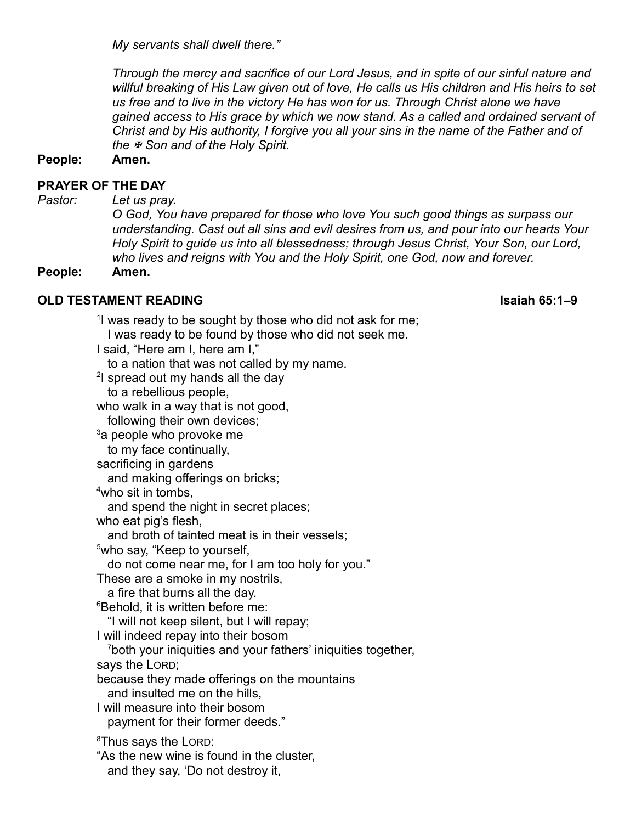*My servants shall dwell there."*

*Through the mercy and sacrifice of our Lord Jesus, and in spite of our sinful nature and willful breaking of His Law given out of love, He calls us His children and His heirs to set us free and to live in the victory He has won for us. Through Christ alone we have gained access to His grace by which we now stand. As a called and ordained servant of Christ and by His authority, I forgive you all your sins in the name of the Father and of the Son and of the Holy Spirit.*

**People: Amen.**

#### **PRAYER OF THE DAY**

*Pastor: Let us pray.*

*O God, You have prepared for those who love You such good things as surpass our understanding. Cast out all sins and evil desires from us, and pour into our hearts Your Holy Spirit to guide us into all blessedness; through Jesus Christ, Your Son, our Lord, who lives and reigns with You and the Holy Spirit, one God, now and forever.*

**People: Amen.**

#### **OLD TESTAMENT READING Isaiah 65:1–9**

<sup>1</sup>I was ready to be sought by those who did not ask for me; I was ready to be found by those who did not seek me. I said, "Here am I, here am I," to a nation that was not called by my name.  $^{\rm 2}$ I spread out my hands all the day to a rebellious people, who walk in a way that is not good, following their own devices;  $3a$  people who provoke me to my face continually, sacrificing in gardens and making offerings on bricks; <sup>4</sup>who sit in tombs, and spend the night in secret places; who eat pig's flesh. and broth of tainted meat is in their vessels; <sup>5</sup>who say, "Keep to yourself, do not come near me, for I am too holy for you." These are a smoke in my nostrils, a fire that burns all the day. <sup>6</sup>Behold, it is written before me: "I will not keep silent, but I will repay; I will indeed repay into their bosom <sup>7</sup>both your iniquities and your fathers' iniquities together, says the LORD; because they made offerings on the mountains and insulted me on the hills, I will measure into their bosom payment for their former deeds." <sup>8</sup>Thus says the LORD: "As the new wine is found in the cluster, and they say, 'Do not destroy it,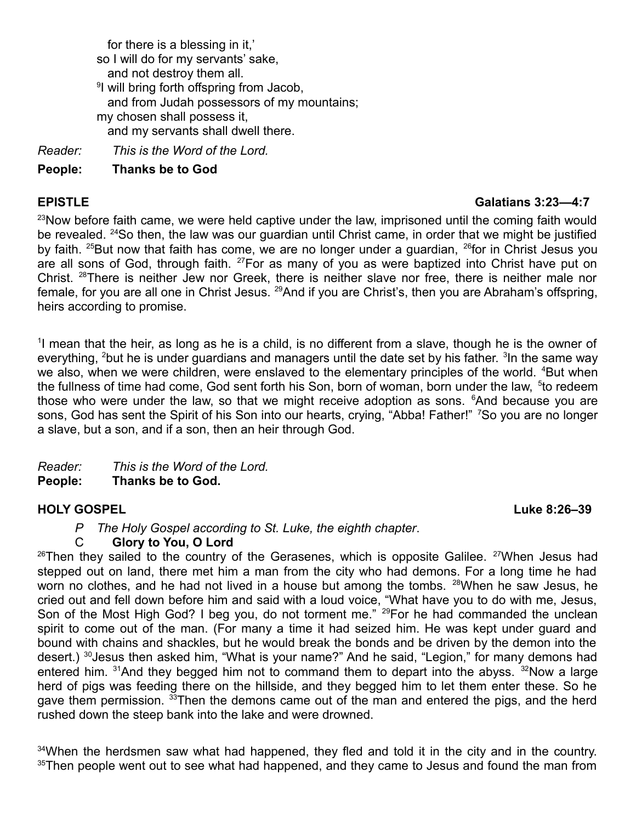for there is a blessing in it,' so I will do for my servants' sake, and not destroy them all. <sup>9</sup>I will bring forth offspring from Jacob, and from Judah possessors of my mountains; my chosen shall possess it, and my servants shall dwell there.

*Reader: This is the Word of the Lord.*

**People: Thanks be to God**

### **EPISTLE Galatians 3:23—4:7**

<sup>23</sup>Now before faith came, we were held captive under the law, imprisoned until the coming faith would be revealed. <sup>24</sup>So then, the law was our guardian until Christ came, in order that we might be justified by faith. <sup>25</sup>But now that faith has come, we are no longer under a guardian, <sup>26</sup>for in Christ Jesus you are all sons of God, through faith. <sup>27</sup>For as many of you as were baptized into Christ have put on Christ. <sup>28</sup>There is neither Jew nor Greek, there is neither slave nor free, there is neither male nor female, for you are all one in Christ Jesus. <sup>29</sup>And if you are Christ's, then you are Abraham's offspring, heirs according to promise.

<sup>1</sup>I mean that the heir, as long as he is a child, is no different from a slave, though he is the owner of everything, <sup>2</sup>but he is under guardians and managers until the date set by his father. <sup>3</sup>In the same way we also, when we were children, were enslaved to the elementary principles of the world. <sup>4</sup>But when the fullness of time had come, God sent forth his Son, born of woman, born under the law, <sup>5</sup>to redeem those who were under the law, so that we might receive adoption as sons. <sup>6</sup>And because you are sons, God has sent the Spirit of his Son into our hearts, crying, "Abba! Father!" <sup>7</sup>So you are no longer a slave, but a son, and if a son, then an heir through God.

*Reader: This is the Word of the Lord.*

**People: Thanks be to God.**

### **HOLY GOSPEL** Luke 8:26–39

*P The Holy Gospel according to St. Luke, the eighth chapter*.

### C **Glory to You, O Lord**

 $26$ Then they sailed to the country of the Gerasenes, which is opposite Galilee.  $27$ When Jesus had stepped out on land, there met him a man from the city who had demons. For a long time he had worn no clothes, and he had not lived in a house but among the tombs. <sup>28</sup>When he saw Jesus, he cried out and fell down before him and said with a loud voice, "What have you to do with me, Jesus, Son of the Most High God? I beg you, do not torment me." <sup>29</sup>For he had commanded the unclean spirit to come out of the man. (For many a time it had seized him. He was kept under guard and bound with chains and shackles, but he would break the bonds and be driven by the demon into the desert.) <sup>30</sup>Jesus then asked him, "What is your name?" And he said, "Legion," for many demons had entered him.  $31$ And they begged him not to command them to depart into the abyss.  $32$ Now a large herd of pigs was feeding there on the hillside, and they begged him to let them enter these. So he gave them permission. <sup>33</sup>Then the demons came out of the man and entered the pigs, and the herd rushed down the steep bank into the lake and were drowned.

 $34$ When the herdsmen saw what had happened, they fled and told it in the city and in the country.  $35$ Then people went out to see what had happened, and they came to Jesus and found the man from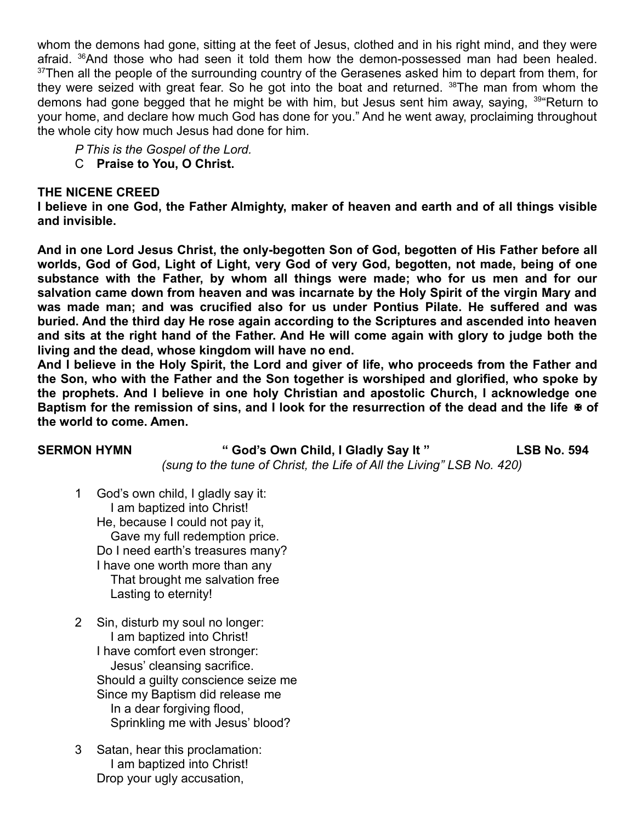whom the demons had gone, sitting at the feet of Jesus, clothed and in his right mind, and they were afraid. <sup>36</sup>And those who had seen it told them how the demon-possessed man had been healed.  $37$ Then all the people of the surrounding country of the Gerasenes asked him to depart from them, for they were seized with great fear. So he got into the boat and returned. <sup>38</sup>The man from whom the demons had gone begged that he might be with him, but Jesus sent him away, saying, <sup>39</sup> Return to your home, and declare how much God has done for you." And he went away, proclaiming throughout the whole city how much Jesus had done for him.

- *P This is the Gospel of the Lord.*
- C **Praise to You, O Christ.**

#### **THE NICENE CREED**

**I believe in one God, the Father Almighty, maker of heaven and earth and of all things visible and invisible.** 

**And in one Lord Jesus Christ, the only-begotten Son of God, begotten of His Father before all worlds, God of God, Light of Light, very God of very God, begotten, not made, being of one substance with the Father, by whom all things were made; who for us men and for our salvation came down from heaven and was incarnate by the Holy Spirit of the virgin Mary and was made man; and was crucified also for us under Pontius Pilate. He suffered and was buried. And the third day He rose again according to the Scriptures and ascended into heaven and sits at the right hand of the Father. And He will come again with glory to judge both the living and the dead, whose kingdom will have no end.** 

**And I believe in the Holy Spirit, the Lord and giver of life, who proceeds from the Father and the Son, who with the Father and the Son together is worshiped and glorified, who spoke by the prophets. And I believe in one holy Christian and apostolic Church, I acknowledge one Baptism for the remission of sins, and I look for the resurrection of the dead and the life of the world to come. Amen.**

#### **SERMON HYMN " God's Own Child, I Gladly Say It " LSB No. 594** *(sung to the tune of Christ, the Life of All the Living" LSB No. 420)*

- 1 God's own child, I gladly say it: I am baptized into Christ! He, because I could not pay it, Gave my full redemption price. Do I need earth's treasures many? I have one worth more than any That brought me salvation free Lasting to eternity!
- 2 Sin, disturb my soul no longer: I am baptized into Christ! I have comfort even stronger: Jesus' cleansing sacrifice. Should a guilty conscience seize me Since my Baptism did release me In a dear forgiving flood, Sprinkling me with Jesus' blood?
- 3 Satan, hear this proclamation: I am baptized into Christ! Drop your ugly accusation,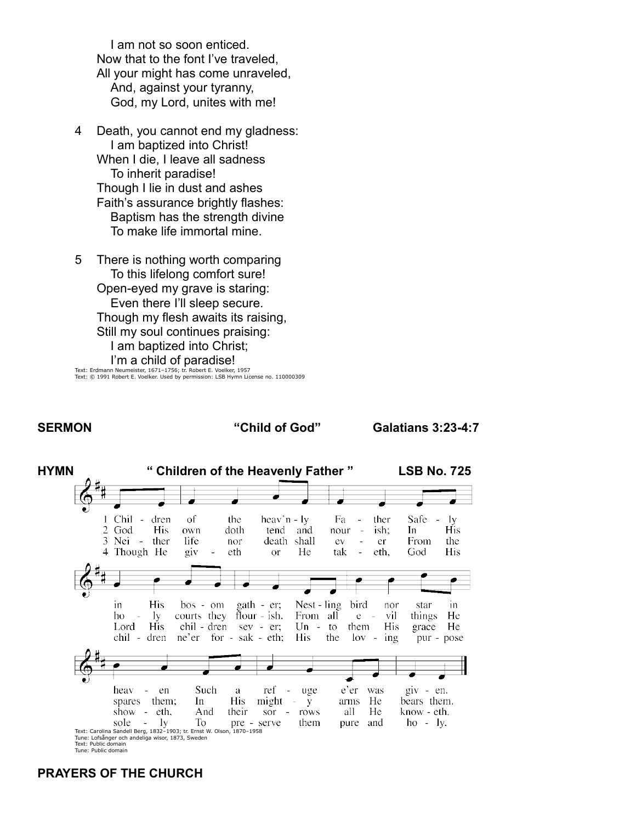I am not so soon enticed. Now that to the font I've traveled, All your might has come unraveled, And, against your tyranny, God, my Lord, unites with me!

- 4 Death, you cannot end my gladness: I am baptized into Christ! When I die, I leave all sadness To inherit paradise! Though I lie in dust and ashes Faith's assurance brightly flashes: Baptism has the strength divine To make life immortal mine.
- 5 There is nothing worth comparing To this lifelong comfort sure! Open-eyed my grave is staring: Even there I'll sleep secure. Though my flesh awaits its raising, Still my soul continues praising: I am baptized into Christ; I'm a child of paradise!

Text: Erdmann Neumeister, 1671–1756; tr. Robert E. Voelker, 1957 Text: © 1991 Robert E. Voelker. Used by permission: LSB Hymn License no. 110000309

#### **SERMON "Child of God" Galatians 3:23-4:7**



#### **PRAYERS OF THE CHURCH**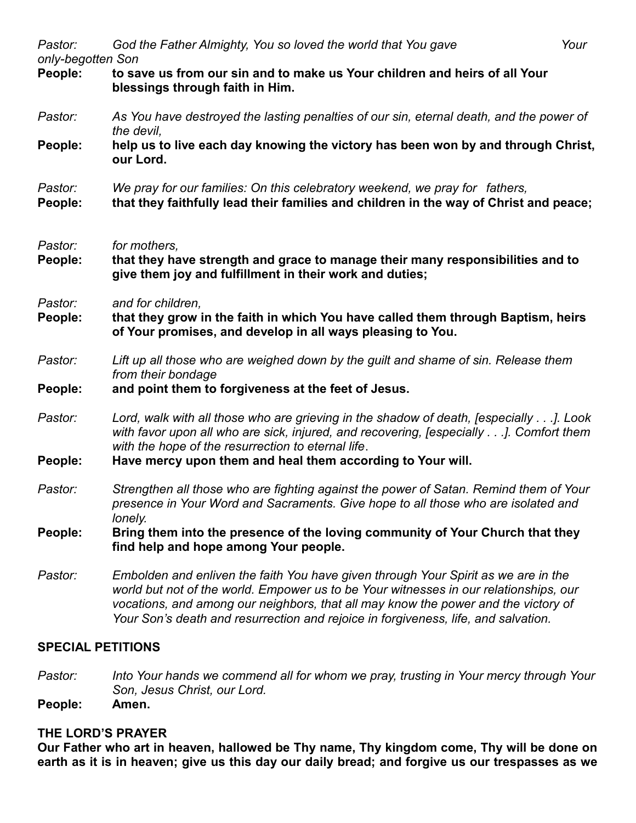| Pastor:<br>only-begotten Son | God the Father Almighty, You so loved the world that You gave<br>Your                                                                                                                                                                                                                                                                                   |  |
|------------------------------|---------------------------------------------------------------------------------------------------------------------------------------------------------------------------------------------------------------------------------------------------------------------------------------------------------------------------------------------------------|--|
| People:                      | to save us from our sin and to make us Your children and heirs of all Your<br>blessings through faith in Him.                                                                                                                                                                                                                                           |  |
| Pastor:                      | As You have destroyed the lasting penalties of our sin, eternal death, and the power of<br>the devil,                                                                                                                                                                                                                                                   |  |
| People:                      | help us to live each day knowing the victory has been won by and through Christ,<br>our Lord.                                                                                                                                                                                                                                                           |  |
| Pastor:<br>People:           | We pray for our families: On this celebratory weekend, we pray for fathers,<br>that they faithfully lead their families and children in the way of Christ and peace;                                                                                                                                                                                    |  |
| Pastor:<br>People:           | for mothers,<br>that they have strength and grace to manage their many responsibilities and to<br>give them joy and fulfillment in their work and duties;                                                                                                                                                                                               |  |
| Pastor:<br>People:           | and for children,<br>that they grow in the faith in which You have called them through Baptism, heirs<br>of Your promises, and develop in all ways pleasing to You.                                                                                                                                                                                     |  |
| Pastor:                      | Lift up all those who are weighed down by the guilt and shame of sin. Release them<br>from their bondage                                                                                                                                                                                                                                                |  |
| People:                      | and point them to forgiveness at the feet of Jesus.                                                                                                                                                                                                                                                                                                     |  |
| Pastor:                      | Lord, walk with all those who are grieving in the shadow of death, [especially]. Look<br>with favor upon all who are sick, injured, and recovering, [especially]. Comfort them<br>with the hope of the resurrection to eternal life.                                                                                                                    |  |
| People:                      | Have mercy upon them and heal them according to Your will.                                                                                                                                                                                                                                                                                              |  |
| Pastor:                      | Strengthen all those who are fighting against the power of Satan. Remind them of Your<br>presence in Your Word and Sacraments. Give hope to all those who are isolated and<br>lonely.                                                                                                                                                                   |  |
| People:                      | Bring them into the presence of the loving community of Your Church that they<br>find help and hope among Your people.                                                                                                                                                                                                                                  |  |
| Pastor:                      | Embolden and enliven the faith You have given through Your Spirit as we are in the<br>world but not of the world. Empower us to be Your witnesses in our relationships, our<br>vocations, and among our neighbors, that all may know the power and the victory of<br>Your Son's death and resurrection and rejoice in forgiveness, life, and salvation. |  |

#### **SPECIAL PETITIONS**

- *Pastor: Into Your hands we commend all for whom we pray, trusting in Your mercy through Your Son, Jesus Christ, our Lord.*
- **People:**

### **THE LORD'S PRAYER**

**Our Father who art in heaven, hallowed be Thy name, Thy kingdom come, Thy will be done on earth as it is in heaven; give us this day our daily bread; and forgive us our trespasses as we**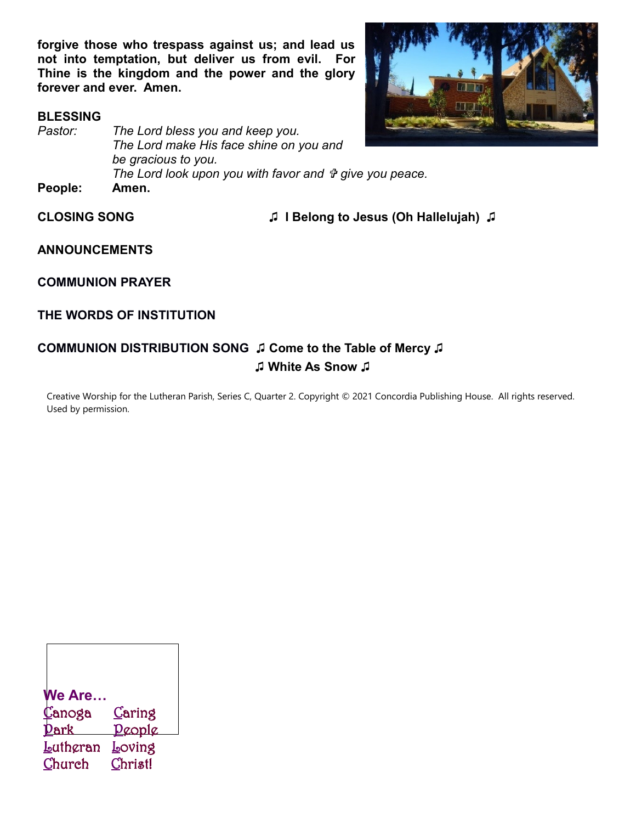**forgive those who trespass against us; and lead us not into temptation, but deliver us from evil. For Thine is the kingdom and the power and the glory forever and ever. Amen.**

#### **BLESSING**





**CLOSING SONG ♫ I Belong to Jesus (Oh Hallelujah) ♫**

**ANNOUNCEMENTS**

**COMMUNION PRAYER**

### **THE WORDS OF INSTITUTION**

## **COMMUNION DISTRIBUTION SONG ♫ Come to the Table of Mercy ♫ ♫ White As Snow ♫**

Creative Worship for the Lutheran Parish, Series C, Quarter 2. Copyright © 2021 Concordia Publishing House. All rights reserved. Used by permission.

| <b>We Are</b> |                |
|---------------|----------------|
| Canoga        | <u>C</u> aring |
| Dark          | <u>Deople</u>  |
| Lathgran      | <u>L</u> oving |
| Church        | Christ!        |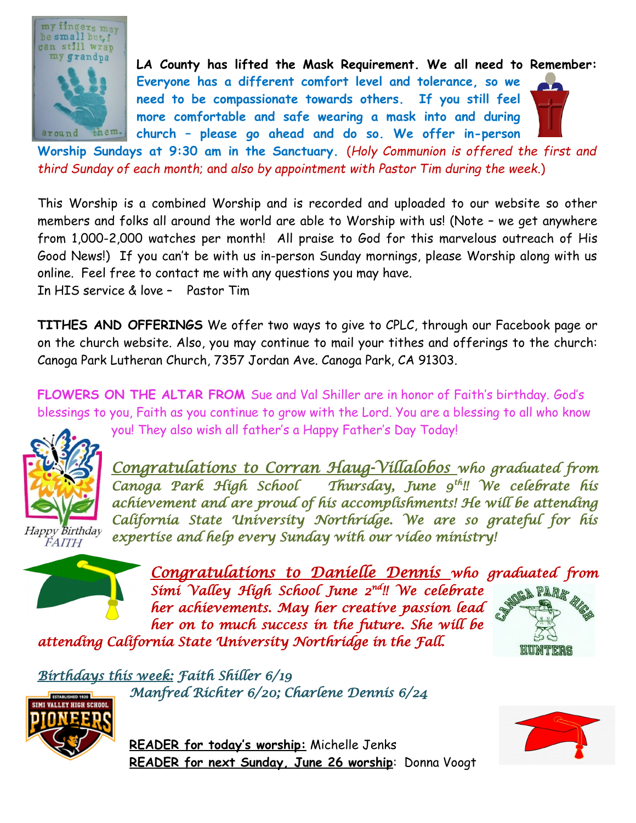

**LA County has lifted the Mask Requirement. We all need to Remember: Everyone has a different comfort level and tolerance, so we need to be compassionate towards others. If you still feel more comfortable and safe wearing a mask into and during church – please go ahead and do so. We offer in-person**

**Worship Sundays at 9:30 am in the Sanctuary.** (*Holy Communion is offered the first and third Sunday of each month*; and *also by appointment with Pastor Tim during the week*.)

This Worship is a combined Worship and is recorded and uploaded to our website so other members and folks all around the world are able to Worship with us! (Note – we get anywhere from 1,000-2,000 watches per month! All praise to God for this marvelous outreach of His Good News!) If you can't be with us in-person Sunday mornings, please Worship along with us online. Feel free to contact me with any questions you may have.

In HIS service & love – Pastor Tim

**TITHES AND OFFERINGS** We offer two ways to give to CPLC, through our Facebook page or on the church website. Also, you may continue to mail your tithes and offerings to the church: Canoga Park Lutheran Church, 7357 Jordan Ave. Canoga Park, CA 91303.

**FLOWERS ON THE ALTAR FROM** Sue and Val Shiller are in honor of Faith's birthday. God's blessings to you, Faith as you continue to grow with the Lord. You are a blessing to all who know



Happy Birthday FAITH

you! They also wish all father's a Happy Father's Day Today!

*Congratulations to Corran Haug-Villalobos who graduated from Canoga Park High School Thursday, June 9th!! We celebrate his achievement and are proud of his accomplishments! He will be attending California State University Northridge. We are so grateful for his expertise and help every Sunday with our video ministry!*



*Congratulations to Danielle Dennis who graduated from Simi Valley High School June 2nd!! We celebrate* **GA PARA** *her achievements. May her creative passion lead her on to much success in the future. She will be*

*attending California State University Northridge in the Fall.* 



*Birthdays this week: Faith Shiller 6/19 Manfred Richter 6/20; Charlene Dennis 6/24*



**READER for today's worship:** Michelle Jenks **READER for next Sunday, June 26 worship**: Donna Voogt

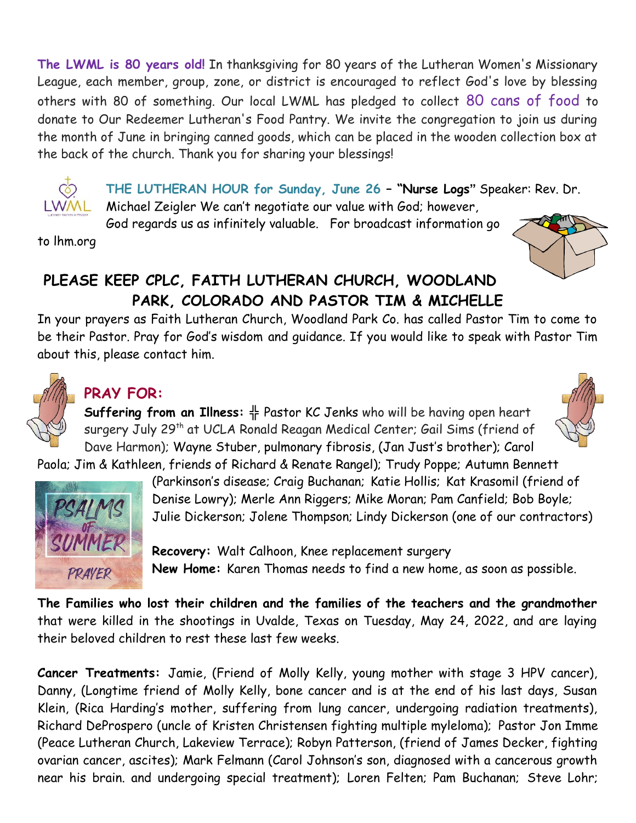**The LWML is 80 years old!** In thanksgiving for 80 years of the Lutheran Women's Missionary League, each member, group, zone, or district is encouraged to reflect God's love by blessing others with 80 of something. Our local LWML has pledged to collect 80 cans of food to donate to Our Redeemer Lutheran's Food Pantry. We invite the congregation to join us during the month of June in bringing canned goods, which can be placed in the wooden collection box at the back of the church. Thank you for sharing your blessings!



**THE LUTHERAN HOUR for Sunday, June 26 – "Nurse Logs"** Speaker: Rev. Dr. Michael Zeigler We can't negotiate our value with God; however,

God regards us as infinitely valuable. For broadcast information go

to lhm.org



## **PLEASE KEEP CPLC, FAITH LUTHERAN CHURCH, WOODLAND PARK, COLORADO AND PASTOR TIM & MICHELLE**

In your prayers as Faith Lutheran Church, Woodland Park Co. has called Pastor Tim to come to be their Pastor. Pray for God's wisdom and guidance. If you would like to speak with Pastor Tim about this, please contact him.



# **PRAY FOR:**

**Suffering from an Illness: ╬** Pastor KC Jenks who will be having open heart surgery July 29<sup>th</sup> at UCLA Ronald Reagan Medical Center; Gail Sims (friend of Dave Harmon); Wayne Stuber, pulmonary fibrosis, (Jan Just's brother); Carol

Paola; Jim & Kathleen, friends of Richard & Renate Rangel); Trudy Poppe; Autumn Bennett



(Parkinson's disease; Craig Buchanan; Katie Hollis; Kat Krasomil (friend of Denise Lowry); Merle Ann Riggers; Mike Moran; Pam Canfield; Bob Boyle; Julie Dickerson; Jolene Thompson; Lindy Dickerson (one of our contractors)

**Recovery:** Walt Calhoon, Knee replacement surgery **New Home:** Karen Thomas needs to find a new home, as soon as possible.

**The Families who lost their children and the families of the teachers and the grandmother** that were killed in the shootings in Uvalde, Texas on Tuesday, May 24, 2022, and are laying their beloved children to rest these last few weeks.

**Cancer Treatments:** Jamie, (Friend of Molly Kelly, young mother with stage 3 HPV cancer), Danny, (Longtime friend of Molly Kelly, bone cancer and is at the end of his last days, Susan Klein, (Rica Harding's mother, suffering from lung cancer, undergoing radiation treatments), Richard DeProspero (uncle of Kristen Christensen fighting multiple myleloma); Pastor Jon Imme (Peace Lutheran Church, Lakeview Terrace); Robyn Patterson, (friend of James Decker, fighting ovarian cancer, ascites); Mark Felmann (Carol Johnson's son, diagnosed with a cancerous growth near his brain. and undergoing special treatment); Loren Felten; Pam Buchanan; Steve Lohr;